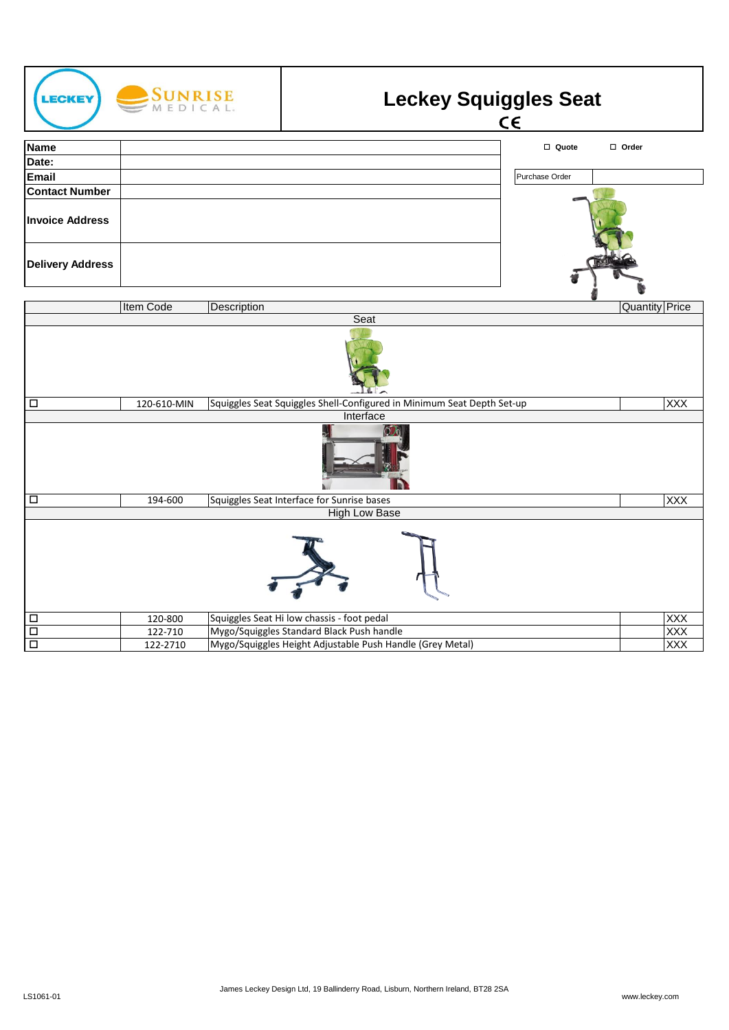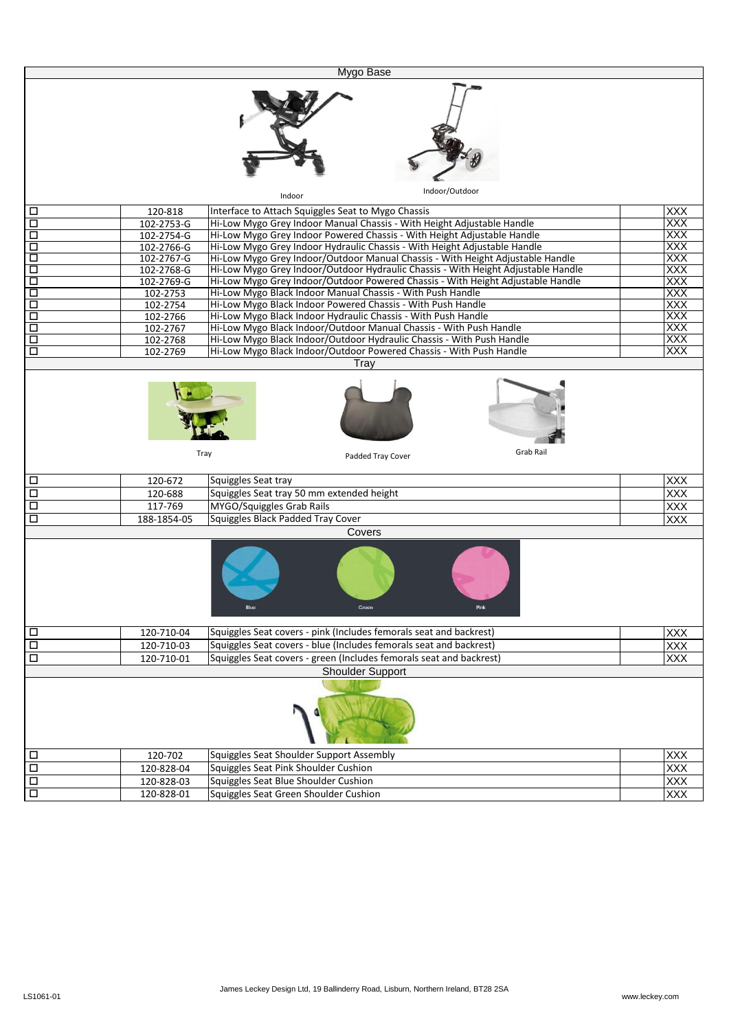|                  |                          | Mygo Base                                                                         |                          |
|------------------|--------------------------|-----------------------------------------------------------------------------------|--------------------------|
|                  |                          |                                                                                   |                          |
|                  |                          | Indoor/Outdoor<br>Indoor                                                          |                          |
| □                | 120-818                  | Interface to Attach Squiggles Seat to Mygo Chassis                                | <b>XXX</b>               |
| $\Box$           | 102-2753-G               | Hi-Low Mygo Grey Indoor Manual Chassis - With Height Adjustable Handle            | <b>XXX</b>               |
| □                | 102-2754-G               | Hi-Low Mygo Grey Indoor Powered Chassis - With Height Adjustable Handle           | XXX                      |
| □                | 102-2766-G               | Hi-Low Mygo Grey Indoor Hydraulic Chassis - With Height Adjustable Handle         | <b>XXX</b>               |
| $\Box$           | 102-2767-G               | Hi-Low Mygo Grey Indoor/Outdoor Manual Chassis - With Height Adjustable Handle    | XXX                      |
| Ξ                | 102-2768-G               | Hi-Low Mygo Grey Indoor/Outdoor Hydraulic Chassis - With Height Adjustable Handle | XXX                      |
| ά                | 102-2769-G               | Hi-Low Mygo Grey Indoor/Outdoor Powered Chassis - With Height Adjustable Handle   | XXX                      |
| □                | 102-2753                 | Hi-Low Mygo Black Indoor Manual Chassis - With Push Handle                        | XXX                      |
| Δ                | 102-2754                 | Hi-Low Mygo Black Indoor Powered Chassis - With Push Handle                       | XXX                      |
| Д                | 102-2766                 | Hi-Low Mygo Black Indoor Hydraulic Chassis - With Push Handle                     | XXX                      |
| □                | 102-2767                 | Hi-Low Mygo Black Indoor/Outdoor Manual Chassis - With Push Handle                | XXX                      |
| $\Box$<br>□      | 102-2768                 | Hi-Low Mygo Black Indoor/Outdoor Hydraulic Chassis - With Push Handle             | XXX<br>XXX               |
|                  | 102-2769                 | Hi-Low Mygo Black Indoor/Outdoor Powered Chassis - With Push Handle<br>Tray       |                          |
|                  |                          |                                                                                   |                          |
|                  |                          | Grab Rail<br>Tray<br>Padded Tray Cover                                            |                          |
|                  |                          |                                                                                   |                          |
| □                | 120-672                  | Squiggles Seat tray                                                               | XXX                      |
| $\Box$           | 120-688                  | Squiggles Seat tray 50 mm extended height                                         | <b>XXX</b>               |
| $\Box$           | 117-769                  | MYGO/Squiggles Grab Rails                                                         | XXX                      |
| □                | 188-1854-05              | Squiggles Black Padded Tray Cover<br>Covers                                       | XXX                      |
|                  |                          |                                                                                   |                          |
| $\Box$           | 120-710-04               | Squiggles Seat covers - pink (Includes femorals seat and backrest)                | <b>XXX</b>               |
| $\Box$           | 120-710-03               | Squiggles Seat covers - blue (Includes femorals seat and backrest)                | <b>XXX</b>               |
| $\Box$           | 120-710-01               | Squiggles Seat covers - green (Includes femorals seat and backrest)               | <b>XXX</b>               |
|                  |                          | <b>Shoulder Support</b>                                                           |                          |
|                  |                          |                                                                                   |                          |
| □                | 120-702                  | Squiggles Seat Shoulder Support Assembly                                          | <b>XXX</b>               |
| $\Box$           | 120-828-04               | Squiggles Seat Pink Shoulder Cushion                                              | <b>XXX</b>               |
| $\Box$<br>$\Box$ | 120-828-03<br>120-828-01 | Squiggles Seat Blue Shoulder Cushion<br>Squiggles Seat Green Shoulder Cushion     | <b>XXX</b><br><b>XXX</b> |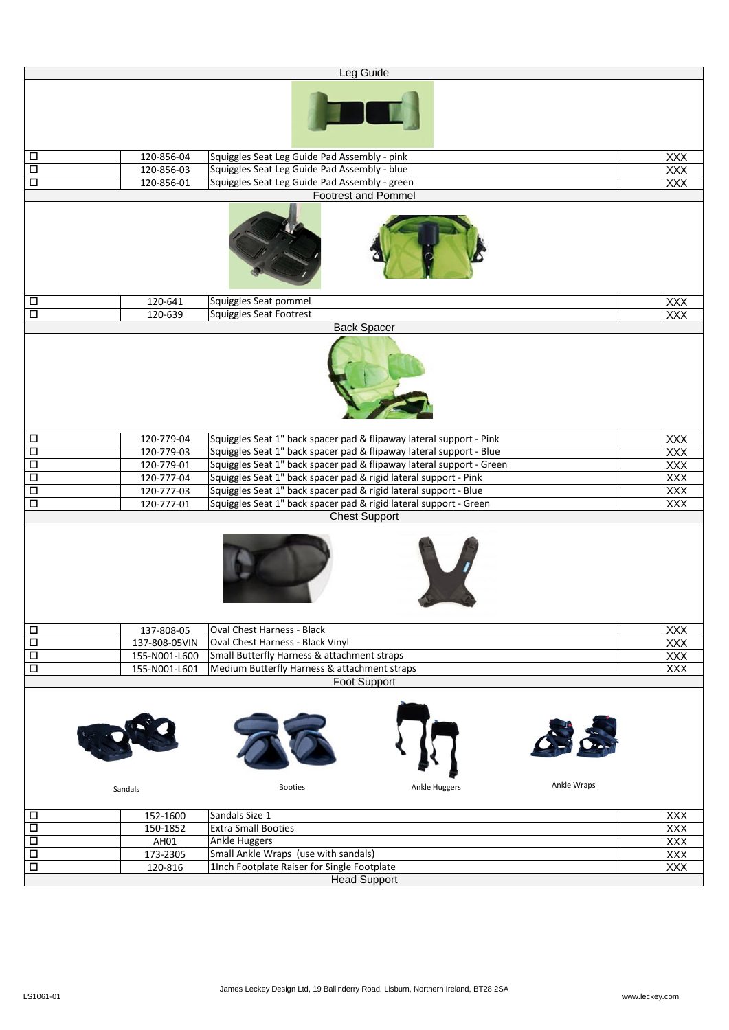|                      |               | Leg Guide                                                                    |                   |
|----------------------|---------------|------------------------------------------------------------------------------|-------------------|
|                      |               |                                                                              |                   |
| $\Box$               | 120-856-04    | Squiggles Seat Leg Guide Pad Assembly - pink                                 | <b>XXX</b>        |
| $\overline{\square}$ | 120-856-03    | Squiggles Seat Leg Guide Pad Assembly - blue                                 | <b>XXX</b>        |
| $\Box$               | 120-856-01    | Squiggles Seat Leg Guide Pad Assembly - green                                | <b>XXX</b>        |
|                      |               | <b>Footrest and Pommel</b>                                                   |                   |
|                      |               |                                                                              |                   |
| $\Box$               | 120-641       | Squiggles Seat pommel                                                        | XXX               |
| $\overline{\square}$ | 120-639       | Squiggles Seat Footrest<br><b>Back Spacer</b>                                | <b>XXX</b>        |
|                      |               |                                                                              |                   |
| $\Box$               | 120-779-04    | Squiggles Seat 1" back spacer pad & flipaway lateral support - Pink          | <b>XXX</b>        |
| $\Box$               | 120-779-03    | Squiggles Seat 1" back spacer pad & flipaway lateral support - Blue          | <b>XXX</b>        |
| $\overline{\square}$ | 120-779-01    | Squiggles Seat 1" back spacer pad & flipaway lateral support - Green         | $\frac{XXX}{XXX}$ |
| Ō                    | 120-777-04    | Squiggles Seat 1" back spacer pad & rigid lateral support - Pink             |                   |
| $\overline{\square}$ | 120-777-03    | Squiggles Seat 1" back spacer pad & rigid lateral support - Blue             | XXX<br>XXX        |
| $\overline{\square}$ | 120-777-01    | Squiggles Seat 1" back spacer pad & rigid lateral support - Green            |                   |
|                      |               | <b>Chest Support</b>                                                         |                   |
|                      |               |                                                                              |                   |
| $\Box$               | 137-808-05    | Oval Chest Harness - Black                                                   | XXX               |
| $\Box$               | 137-808-05VIN | Oval Chest Harness - Black Vinyl                                             | XXX               |
| $\Box$               | 155-N001-L600 | Small Butterfly Harness & attachment straps                                  | XXX               |
| $\Box$               | 155-N001-L601 | Medium Butterfly Harness & attachment straps                                 | $\overline{XXX}$  |
|                      | Sandals       | <b>Foot Support</b><br>Ankle Wraps<br><b>Ankle Huggers</b><br><b>Booties</b> |                   |
|                      |               |                                                                              |                   |
| $\Box$               | 152-1600      | Sandals Size 1                                                               | <b>XXX</b>        |
| $\Box$               | 150-1852      | <b>Extra Small Booties</b>                                                   | XXX               |
| $\Box$               | AH01          | Ankle Huggers                                                                | XXX               |
| $\overline{\square}$ | 173-2305      | Small Ankle Wraps (use with sandals)                                         | XXX               |
| $\overline{\square}$ | 120-816       | 1Inch Footplate Raiser for Single Footplate                                  | <b>XXX</b>        |
|                      |               | <b>Head Support</b>                                                          |                   |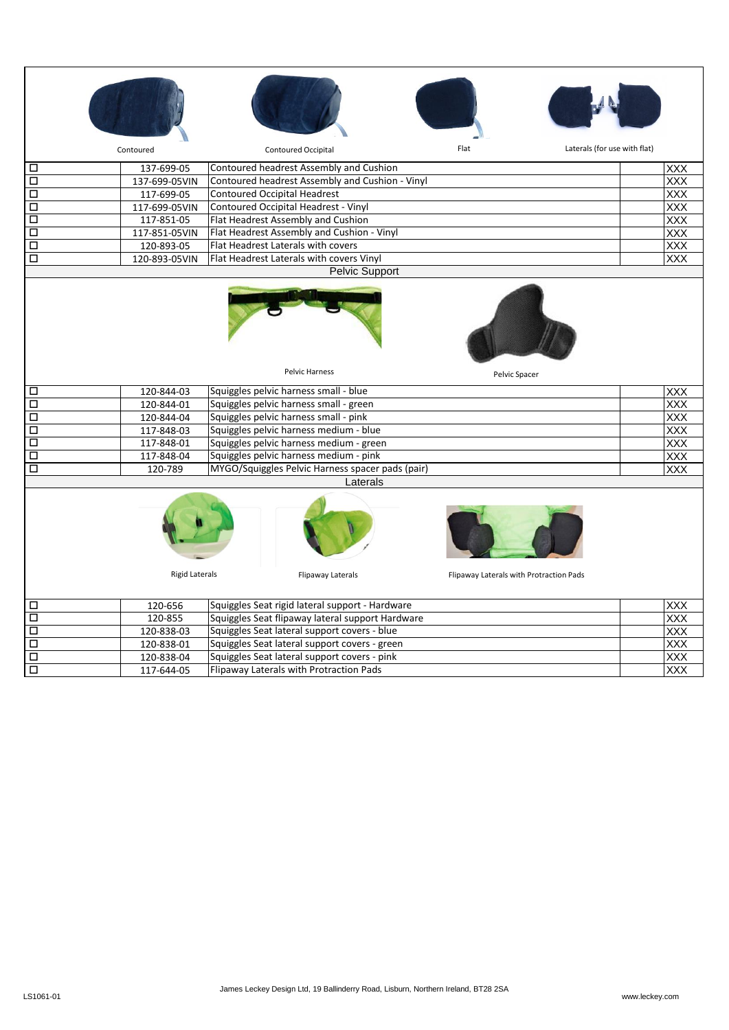|                      | Contoured             | <b>Contoured Occipital</b>                       | Flat                                    | Laterals (for use with flat) |  |  |
|----------------------|-----------------------|--------------------------------------------------|-----------------------------------------|------------------------------|--|--|
| □                    | 137-699-05            | Contoured headrest Assembly and Cushion          |                                         | <b>XXX</b>                   |  |  |
| □                    | 137-699-05VIN         | Contoured headrest Assembly and Cushion - Vinyl  |                                         | <b>XXX</b>                   |  |  |
| □                    | 117-699-05            | <b>Contoured Occipital Headrest</b>              |                                         | <b>XXX</b>                   |  |  |
| О                    | 117-699-05VIN         | Contoured Occipital Headrest - Vinyl             |                                         | <b>XXX</b>                   |  |  |
| $\overline{\square}$ | 117-851-05            | Flat Headrest Assembly and Cushion               |                                         | XXX                          |  |  |
| □                    | 117-851-05VIN         | Flat Headrest Assembly and Cushion - Vinyl       |                                         | $\overline{XXX}$             |  |  |
| □                    | 120-893-05            | Flat Headrest Laterals with covers               |                                         | XXX                          |  |  |
| □                    | 120-893-05VIN         | Flat Headrest Laterals with covers Vinyl         |                                         | <b>XXX</b>                   |  |  |
|                      |                       | Pelvic Support                                   |                                         |                              |  |  |
|                      |                       |                                                  |                                         |                              |  |  |
|                      |                       | Pelvic Harness                                   | Pelvic Spacer                           |                              |  |  |
| □                    | 120-844-03            | Squiggles pelvic harness small - blue            |                                         | <b>XXX</b>                   |  |  |
| □                    | 120-844-01            | Squiggles pelvic harness small - green           |                                         | <b>XXX</b>                   |  |  |
| □                    | 120-844-04            | Squiggles pelvic harness small - pink            |                                         | XXX                          |  |  |
| О                    |                       |                                                  |                                         |                              |  |  |
|                      | 117-848-03            | Squiggles pelvic harness medium - blue           |                                         | XXX                          |  |  |
| $\overline{\square}$ | 117-848-01            | Squiggles pelvic harness medium - green          |                                         | XXX                          |  |  |
| □                    | 117-848-04            | Squiggles pelvic harness medium - pink           |                                         | XXX                          |  |  |
| О                    | 120-789               | MYGO/Squiggles Pelvic Harness spacer pads (pair) |                                         | <b>XXX</b>                   |  |  |
|                      |                       | Laterals                                         |                                         |                              |  |  |
|                      |                       |                                                  |                                         |                              |  |  |
|                      | <b>Rigid Laterals</b> | Flipaway Laterals                                | Flipaway Laterals with Protraction Pads |                              |  |  |
| □                    | 120-656               | Squiggles Seat rigid lateral support - Hardware  |                                         | <b>XXX</b>                   |  |  |
| □                    | 120-855               | Squiggles Seat flipaway lateral support Hardware |                                         | XXX                          |  |  |
| □                    | 120-838-03            | Squiggles Seat lateral support covers - blue     |                                         | $\overline{XXX}$             |  |  |
| □                    | 120-838-01            | Squiggles Seat lateral support covers - green    |                                         | XXX                          |  |  |

口 | 117-644-05 |Flipaway Laterals with Protraction Pads | |XXX